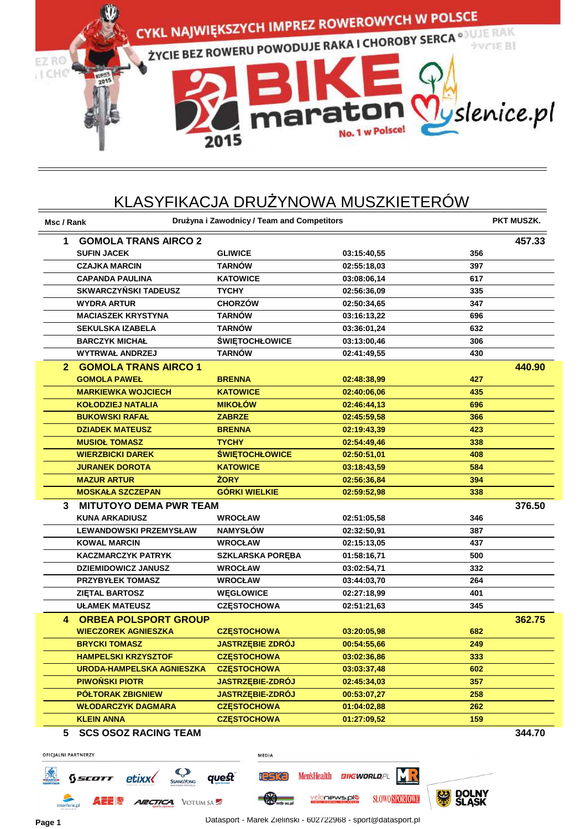

## KLASYFIKACJA DRUŻYNOWA MUSZKIETERÓW

| Msc / Rank                          |                                  | Drużyna i Zawodnicy / Team and Competitors |             |     | <b>PKT MUSZK.</b> |
|-------------------------------------|----------------------------------|--------------------------------------------|-------------|-----|-------------------|
| 1                                   | <b>GOMOLA TRANS AIRCO 2</b>      |                                            |             |     | 457.33            |
|                                     | <b>SUFIN JACEK</b>               | <b>GLIWICE</b>                             | 03:15:40,55 | 356 |                   |
|                                     | <b>CZAJKA MARCIN</b>             | <b>TARNÓW</b>                              | 02:55:18,03 | 397 |                   |
|                                     | <b>CAPANDA PAULINA</b>           | <b>KATOWICE</b>                            | 03:08:06,14 | 617 |                   |
|                                     | <b>SKWARCZYŃSKI TADEUSZ</b>      | <b>TYCHY</b>                               | 02:56:36,09 | 335 |                   |
|                                     | <b>WYDRA ARTUR</b>               | <b>CHORZÓW</b>                             | 02:50:34,65 | 347 |                   |
|                                     | <b>MACIASZEK KRYSTYNA</b>        | <b>TARNÓW</b>                              | 03:16:13,22 | 696 |                   |
|                                     | <b>SEKULSKA IZABELA</b>          | <b>TARNOW</b>                              | 03:36:01,24 | 632 |                   |
|                                     | <b>BARCZYK MICHAL</b>            | <b>ŚWIĘTOCHŁOWICE</b>                      | 03:13:00,46 | 306 |                   |
|                                     | <b>WYTRWAŁ ANDRZEJ</b>           | <b>TARNÓW</b>                              | 02:41:49,55 | 430 |                   |
| 2.                                  | <b>GOMOLA TRANS AIRCO 1</b>      |                                            |             |     | 440.90            |
|                                     | <b>GOMOLA PAWEŁ</b>              | <b>BRENNA</b>                              | 02:48:38,99 | 427 |                   |
|                                     | <b>MARKIEWKA WOJCIECH</b>        | <b>KATOWICE</b>                            | 02:40:06,06 | 435 |                   |
|                                     | <b>KOŁODZIEJ NATALIA</b>         | <b>MIKOŁÓW</b>                             | 02:46:44,13 | 696 |                   |
|                                     | <b>BUKOWSKI RAFAŁ</b>            | <b>ZABRZE</b>                              | 02:45:59,58 | 366 |                   |
|                                     | <b>DZIADEK MATEUSZ</b>           | <b>BRENNA</b>                              | 02:19:43,39 | 423 |                   |
|                                     | <b>MUSIOŁ TOMASZ</b>             | <b>TYCHY</b>                               | 02:54:49,46 | 338 |                   |
|                                     | <b>WIERZBICKI DAREK</b>          | <b>ŚWIĘTOCHŁOWICE</b>                      | 02:50:51,01 | 408 |                   |
|                                     | <b>JURANEK DOROTA</b>            | <b>KATOWICE</b>                            | 03:18:43,59 | 584 |                   |
|                                     | <b>MAZUR ARTUR</b>               | <b>ŻORY</b>                                | 02:56:36,84 | 394 |                   |
|                                     | <b>MOSKAŁA SZCZEPAN</b>          | <b>GÓRKI WIELKIE</b>                       | 02:59:52,98 | 338 |                   |
| <b>MITUTOYO DEMA PWR TEAM</b><br>3. |                                  |                                            |             |     | 376.50            |
|                                     | <b>KUNA ARKADIUSZ</b>            | <b>WROCŁAW</b>                             | 02:51:05,58 | 346 |                   |
|                                     | <b>LEWANDOWSKI PRZEMYSŁAW</b>    | <b>NAMYSŁÓW</b>                            | 02:32:50,91 | 387 |                   |
|                                     | <b>KOWAL MARCIN</b>              | <b>WROCŁAW</b>                             | 02:15:13,05 | 437 |                   |
|                                     | <b>KACZMARCZYK PATRYK</b>        | <b>SZKLARSKA PORĘBA</b>                    | 01:58:16,71 | 500 |                   |
|                                     | <b>DZIEMIDOWICZ JANUSZ</b>       | <b>WROCŁAW</b>                             | 03:02:54,71 | 332 |                   |
|                                     | <b>PRZYBYŁEK TOMASZ</b>          | <b>WROCŁAW</b>                             | 03:44:03,70 | 264 |                   |
|                                     | <b>ZIĘTAL BARTOSZ</b>            | <b>WEGLOWICE</b>                           | 02:27:18,99 | 401 |                   |
|                                     | <b>UŁAMEK MATEUSZ</b>            | <b>CZESTOCHOWA</b>                         | 02:51:21,63 | 345 |                   |
| 4                                   | <b>ORBEA POLSPORT GROUP</b>      |                                            |             |     | 362.75            |
|                                     | <b>WIECZOREK AGNIESZKA</b>       | <b>CZESTOCHOWA</b>                         | 03:20:05.98 | 682 |                   |
|                                     | <b>BRYCKI TOMASZ</b>             | <b>JASTRZEBIE ZDRÓJ</b>                    | 00:54:55.66 | 249 |                   |
|                                     | <b>HAMPELSKI KRZYSZTOF</b>       | <b>CZESTOCHOWA</b>                         | 03:02:36,86 | 333 |                   |
|                                     | <b>URODA-HAMPELSKA AGNIESZKA</b> | <b>CZESTOCHOWA</b>                         | 03:03:37,48 | 602 |                   |
|                                     | <b>PIWOŃSKI PIOTR</b>            | <b>JASTRZEBIE-ZDRÓJ</b>                    | 02:45:34,03 | 357 |                   |
|                                     | PÓŁTORAK ZBIGNIEW                | <b>JASTRZEBIE-ZDRÓJ</b>                    | 00:53:07,27 | 258 |                   |
|                                     | <b>WŁODARCZYK DAGMARA</b>        | <b>CZESTOCHOWA</b>                         | 01:04:02,88 | 262 |                   |
|                                     | <b>KLEIN ANNA</b>                | <b>CZESTOCHOWA</b>                         | 01:27:09,52 | 159 |                   |
| 5.                                  | <b>SCS OSOZ RACING TEAM</b>      |                                            |             |     | 344.70            |

**OFICJALNI PARTNERZY** MEDIA **C** MR  $\mathcal{R}$ Men's Health BIKEWORLD, PL quest **Ieska** etixx SSCOTT DOLNY<br>SLASK ಲ್ಲ velonews.plo **SLOWO SPORTOWE** mtb-xc.pl **ARCTICA** VOTUM SA AZE I.º interferie.p